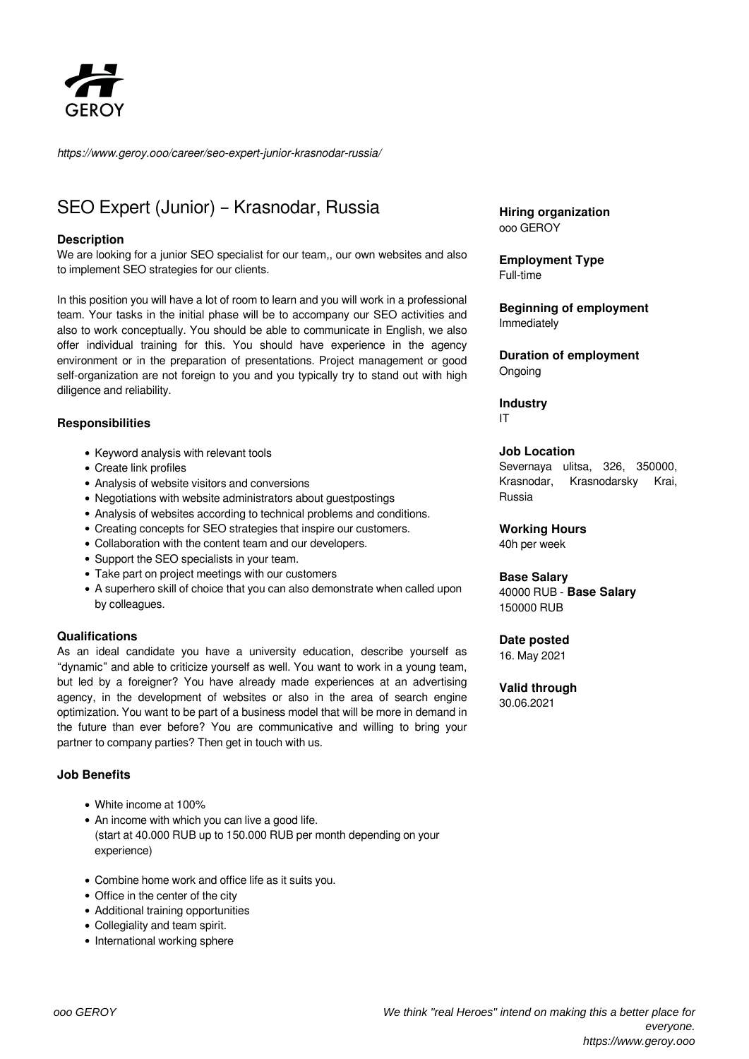

*https://www.geroy.ooo/career/seo-expert-junior-krasnodar-russia/*

# SEO Expert (Junior) – Krasnodar, Russia

### **Description**

We are looking for a junior SEO specialist for our team,, our own websites and also to implement SEO strategies for our clients.

In this position you will have a lot of room to learn and you will work in a professional team. Your tasks in the initial phase will be to accompany our SEO activities and also to work conceptually. You should be able to communicate in English, we also offer individual training for this. You should have experience in the agency environment or in the preparation of presentations. Project management or good self-organization are not foreign to you and you typically try to stand out with high diligence and reliability.

### **Responsibilities**

- Keyword analysis with relevant tools
- Create link profiles
- Analysis of website visitors and conversions
- Negotiations with website administrators about guestpostings
- Analysis of websites according to technical problems and conditions.
- Creating concepts for SEO strategies that inspire our customers.
- Collaboration with the content team and our developers.
- Support the SEO specialists in your team.
- Take part on project meetings with our customers
- A superhero skill of choice that you can also demonstrate when called upon by colleagues.

#### **Qualifications**

As an ideal candidate you have a university education, describe yourself as "dynamic" and able to criticize yourself as well. You want to work in a young team, but led by a foreigner? You have already made experiences at an advertising agency, in the development of websites or also in the area of search engine optimization. You want to be part of a business model that will be more in demand in the future than ever before? You are communicative and willing to bring your partner to company parties? Then get in touch with us.

### **Job Benefits**

- White income at 100%
- An income with which you can live a good life. (start at 40.000 RUB up to 150.000 RUB per month depending on your experience)
- Combine home work and office life as it suits you.
- Office in the center of the city
- Additional training opportunities
- Collegiality and team spirit.
- International working sphere

**Hiring organization** ooo GEROY

**Employment Type** Full-time

**Beginning of employment** Immediately

**Duration of employment** Ongoing

**Industry** IT

#### **Job Location**

Severnaya ulitsa, 326, 350000, Krasnodar, Krasnodarsky Krai, Russia

#### **Working Hours**

40h per week

#### **Base Salary**

40000 RUB - **Base Salary** 150000 RUB

#### **Date posted**

16. May 2021

#### **Valid through** 30.06.2021